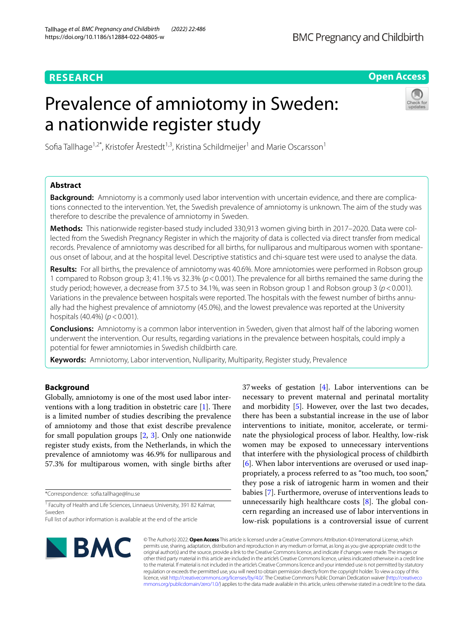# **RESEARCH**

# **Open Access**

# Prevalence of amniotomy in Sweden: a nationwide register study



Sofia Tallhage<sup>1,2\*</sup>, Kristofer Årestedt<sup>1,3</sup>, Kristina Schildmeijer<sup>1</sup> and Marie Oscarsson<sup>1</sup>

# **Abstract**

**Background:** Amniotomy is a commonly used labor intervention with uncertain evidence, and there are complications connected to the intervention. Yet, the Swedish prevalence of amniotomy is unknown. The aim of the study was therefore to describe the prevalence of amniotomy in Sweden.

**Methods:** This nationwide register-based study included 330,913 women giving birth in 2017–2020. Data were collected from the Swedish Pregnancy Register in which the majority of data is collected via direct transfer from medical records. Prevalence of amniotomy was described for all births, for nulliparous and multiparous women with spontaneous onset of labour, and at the hospital level. Descriptive statistics and chi-square test were used to analyse the data.

**Results:** For all births, the prevalence of amniotomy was 40.6%. More amniotomies were performed in Robson group 1 compared to Robson group 3; 41.1% vs 32.3% (*p*<0.001). The prevalence for all births remained the same during the study period; however, a decrease from 37.5 to 34.1%, was seen in Robson group 1 and Robson group 3 (*p*<0.001). Variations in the prevalence between hospitals were reported. The hospitals with the fewest number of births annually had the highest prevalence of amniotomy (45.0%), and the lowest prevalence was reported at the University hospitals (40.4%) (*p*<0.001).

**Conclusions:** Amniotomy is a common labor intervention in Sweden, given that almost half of the laboring women underwent the intervention. Our results, regarding variations in the prevalence between hospitals, could imply a potential for fewer amniotomies in Swedish childbirth care.

**Keywords:** Amniotomy, Labor intervention, Nulliparity, Multiparity, Register study, Prevalence

# **Background**

Globally, amniotomy is one of the most used labor interventions with a long tradition in obstetric care  $[1]$  $[1]$ . There is a limited number of studies describing the prevalence of amniotomy and those that exist describe prevalence for small population groups [\[2,](#page-6-1) [3](#page-6-2)]. Only one nationwide register study exists, from the Netherlands, in which the prevalence of amniotomy was 46.9% for nulliparous and 57.3% for multiparous women, with single births after

\*Correspondence: sofa.tallhage@lnu.se

<sup>1</sup> Faculty of Health and Life Sciences, Linnaeus University, 391 82 Kalmar, Sweden

37weeks of gestation [[4\]](#page-6-3). Labor interventions can be necessary to prevent maternal and perinatal mortality and morbidity [\[5](#page-6-4)]. However, over the last two decades, there has been a substantial increase in the use of labor interventions to initiate, monitor, accelerate, or terminate the physiological process of labor. Healthy, low-risk women may be exposed to unnecessary interventions that interfere with the physiological process of childbirth [[6\]](#page-6-5). When labor interventions are overused or used inappropriately, a process referred to as "too much, too soon," they pose a risk of iatrogenic harm in women and their babies [\[7\]](#page-6-6). Furthermore, overuse of interventions leads to unnecessarily high healthcare costs  $[8]$  $[8]$ . The global concern regarding an increased use of labor interventions in low-risk populations is a controversial issue of current



© The Author(s) 2022. **Open Access** This article is licensed under a Creative Commons Attribution 4.0 International License, which permits use, sharing, adaptation, distribution and reproduction in any medium or format, as long as you give appropriate credit to the original author(s) and the source, provide a link to the Creative Commons licence, and indicate if changes were made. The images or other third party material in this article are included in the article's Creative Commons licence, unless indicated otherwise in a credit line to the material. If material is not included in the article's Creative Commons licence and your intended use is not permitted by statutory regulation or exceeds the permitted use, you will need to obtain permission directly from the copyright holder. To view a copy of this licence, visit [http://creativecommons.org/licenses/by/4.0/.](http://creativecommons.org/licenses/by/4.0/) The Creative Commons Public Domain Dedication waiver ([http://creativeco](http://creativecommons.org/publicdomain/zero/1.0/) [mmons.org/publicdomain/zero/1.0/](http://creativecommons.org/publicdomain/zero/1.0/)) applies to the data made available in this article, unless otherwise stated in a credit line to the data.

Full list of author information is available at the end of the article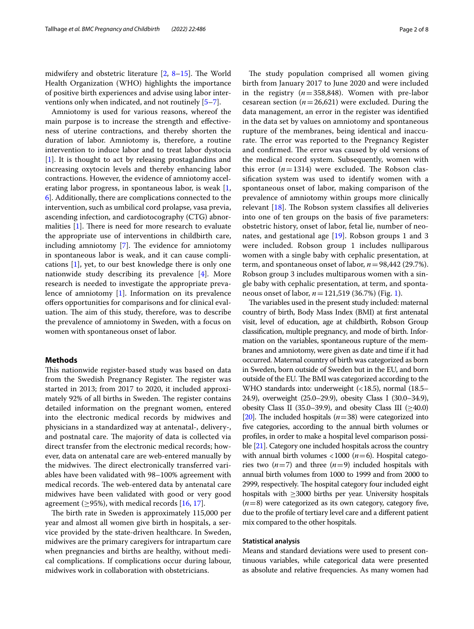midwifery and obstetric literature  $[2, 8-15]$  $[2, 8-15]$  $[2, 8-15]$  $[2, 8-15]$  $[2, 8-15]$ . The World Health Organization (WHO) highlights the importance of positive birth experiences and advise using labor interventions only when indicated, and not routinely [[5–](#page-6-4)[7](#page-6-6)].

Amniotomy is used for various reasons, whereof the main purpose is to increase the strength and efectiveness of uterine contractions, and thereby shorten the duration of labor. Amniotomy is, therefore, a routine intervention to induce labor and to treat labor dystocia [[1\]](#page-6-0). It is thought to act by releasing prostaglandins and increasing oxytocin levels and thereby enhancing labor contractions. However, the evidence of amniotomy accelerating labor progress, in spontaneous labor, is weak [\[1](#page-6-0), [6\]](#page-6-5). Additionally, there are complications connected to the intervention, such as umbilical cord prolapse, vasa previa, ascending infection, and cardiotocography (CTG) abnormalities  $[1]$  $[1]$ . There is need for more research to evaluate the appropriate use of interventions in childbirth care, including amniotomy  $[7]$  $[7]$  $[7]$ . The evidence for amniotomy in spontaneous labor is weak, and it can cause complications [\[1](#page-6-0)], yet, to our best knowledge there is only one nationwide study describing its prevalence [\[4](#page-6-3)]. More research is needed to investigate the appropriate prevalence of amniotomy [[1\]](#page-6-0). Information on its prevalence offers opportunities for comparisons and for clinical evaluation. The aim of this study, therefore, was to describe the prevalence of amniotomy in Sweden, with a focus on women with spontaneous onset of labor.

## **Methods**

This nationwide register-based study was based on data from the Swedish Pregnancy Register. The register was started in 2013; from 2017 to 2020, it included approximately 92% of all births in Sweden. The register contains detailed information on the pregnant women, entered into the electronic medical records by midwives and physicians in a standardized way at antenatal-, delivery-, and postnatal care. The majority of data is collected via direct transfer from the electronic medical records; however, data on antenatal care are web-entered manually by the midwives. The direct electronically transferred variables have been validated with 98–100% agreement with medical records. The web-entered data by antenatal care midwives have been validated with good or very good agreement ( $\geq$ 95%), with medical records [[16](#page-6-9), [17\]](#page-6-10).

The birth rate in Sweden is approximately 115,000 per year and almost all women give birth in hospitals, a service provided by the state-driven healthcare. In Sweden, midwives are the primary caregivers for intrapartum care when pregnancies and births are healthy, without medical complications. If complications occur during labour, midwives work in collaboration with obstetricians.

The study population comprised all women giving birth from January 2017 to June 2020 and were included in the registry  $(n=358,848)$ . Women with pre-labor cesarean section  $(n=26,621)$  were excluded. During the data management, an error in the register was identifed in the data set by values on amniotomy and spontaneous rupture of the membranes, being identical and inaccurate. The error was reported to the Pregnancy Register and confirmed. The error was caused by old versions of the medical record system. Subsequently, women with this error  $(n=1314)$  were excluded. The Robson classifcation system was used to identify women with a spontaneous onset of labor, making comparison of the prevalence of amniotomy within groups more clinically relevant  $[18]$  $[18]$ . The Robson system classifies all deliveries into one of ten groups on the basis of fve parameters: obstetric history, onset of labor, fetal lie, number of neonates, and gestational age [\[19](#page-6-12)]. Robson groups 1 and 3 were included. Robson group 1 includes nulliparous women with a single baby with cephalic presentation, at term, and spontaneous onset of labor, *n*=98,442 (29.7%). Robson group 3 includes multiparous women with a single baby with cephalic presentation, at term, and spontaneous onset of labor, *n*=121,519 (36.7%) (Fig. [1](#page-2-0)).

The variables used in the present study included: maternal country of birth, Body Mass Index (BMI) at frst antenatal visit, level of education, age at childbirth, Robson Group classifcation, multiple pregnancy, and mode of birth. Information on the variables, spontaneous rupture of the membranes and amniotomy, were given as date and time if it had occurred. Maternal country of birth was categorized as born in Sweden, born outside of Sweden but in the EU, and born outside of the EU. The BMI was categorized according to the WHO standards into: underweight (<18.5), normal (18.5– 24.9), overweight (25.0–29.9), obesity Class I (30.0–34.9), obesity Class II (35.0–39.9), and obesity Class III ( $\geq$ 40.0) [[20](#page-7-0)]. The included hospitals  $(n=38)$  were categorized into fve categories, according to the annual birth volumes or profles, in order to make a hospital level comparison possible [[21](#page-7-1)]. Category one included hospitals across the country with annual birth volumes <1000 ( $n=6$ ). Hospital categories two  $(n=7)$  and three  $(n=9)$  included hospitals with annual birth volumes from 1000 to 1999 and from 2000 to 2999, respectively. The hospital category four included eight hospitals with  $\geq$ 3000 births per year. University hospitals (*n*=8) were categorized as its own category, category fve, due to the profle of tertiary level care and a diferent patient mix compared to the other hospitals.

## **Statistical analysis**

Means and standard deviations were used to present continuous variables, while categorical data were presented as absolute and relative frequencies. As many women had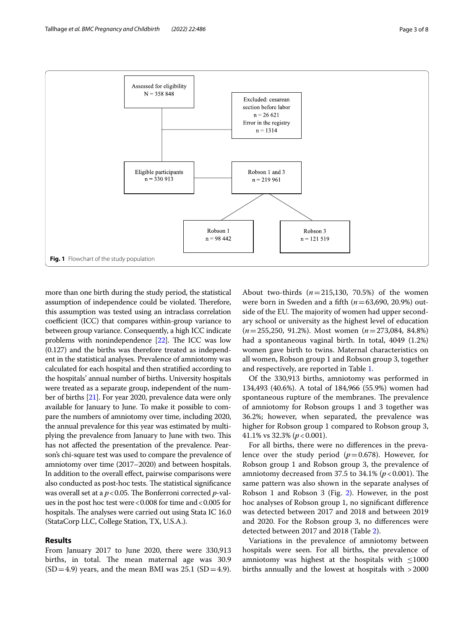

<span id="page-2-0"></span>more than one birth during the study period, the statistical assumption of independence could be violated. Therefore, this assumption was tested using an intraclass correlation coefficient (ICC) that compares within-group variance to between group variance. Consequently, a high ICC indicate problems with nonindependence  $[22]$ . The ICC was low (0.127) and the births was therefore treated as independent in the statistical analyses. Prevalence of amniotomy was calculated for each hospital and then stratifed according to the hospitals' annual number of births. University hospitals were treated as a separate group, independent of the number of births [\[21\]](#page-7-1). For year 2020, prevalence data were only available for January to June. To make it possible to compare the numbers of amniotomy over time, including 2020, the annual prevalence for this year was estimated by multiplying the prevalence from January to June with two. This has not afected the presentation of the prevalence. Pearson's chi-square test was used to compare the prevalence of amniotomy over time (2017–2020) and between hospitals. In addition to the overall efect, pairwise comparisons were also conducted as post-hoc tests. The statistical significance was overall set at a  $p < 0.05$ . The Bonferroni corrected *p*-values in the post hoc test were <0.008 for time and <0.005 for hospitals. The analyses were carried out using Stata IC 16.0 (StataCorp LLC, College Station, TX, U.S.A.).

## **Results**

From January 2017 to June 2020, there were 330,913 births, in total. The mean maternal age was 30.9  $(SD=4.9)$  years, and the mean BMI was 25.1  $(SD=4.9)$ . About two-thirds (*n*=215,130, 70.5%) of the women were born in Sweden and a ffth (*n*=63,690, 20.9%) outside of the EU. The majority of women had upper secondary school or university as the highest level of education (*n*=255,250, 91.2%). Most women (*n*=273,084, 84.8%) had a spontaneous vaginal birth. In total, 4049 (1.2%) women gave birth to twins. Maternal characteristics on all women, Robson group 1 and Robson group 3, together and respectively, are reported in Table [1](#page-3-0).

Of the 330,913 births, amniotomy was performed in 134,493 (40.6%). A total of 184,966 (55.9%) women had spontaneous rupture of the membranes. The prevalence of amniotomy for Robson groups 1 and 3 together was 36.2%; however, when separated, the prevalence was higher for Robson group 1 compared to Robson group 3, 41.1% vs 32.3% (*p*<0.001).

For all births, there were no diferences in the prevalence over the study period  $(p=0.678)$ . However, for Robson group 1 and Robson group 3, the prevalence of amniotomy decreased from 37.5 to 34.1% ( $p < 0.001$ ). The same pattern was also shown in the separate analyses of Robson 1 and Robson 3 (Fig. [2](#page-3-1)). However, in the post hoc analyses of Robson group 1, no signifcant diference was detected between 2017 and 2018 and between 2019 and 2020. For the Robson group 3, no diferences were detected between 2017 and 2018 (Table [2](#page-4-0)).

Variations in the prevalence of amniotomy between hospitals were seen. For all births, the prevalence of amniotomy was highest at the hospitals with  $\leq 1000$ births annually and the lowest at hospitals with >2000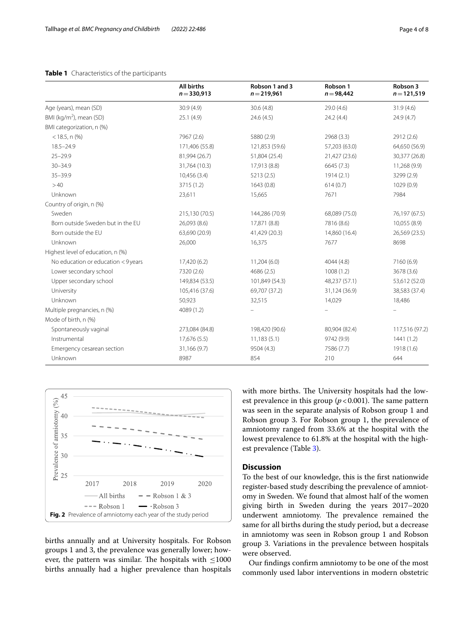# <span id="page-3-0"></span>**Table 1** Characteristics of the participants

|                                     | <b>All births</b><br>$n = 330,913$ | Robson 1 and 3<br>$n = 219,961$ | Robson 1<br>$n = 98,442$ | Robson 3<br>$n = 121,519$ |
|-------------------------------------|------------------------------------|---------------------------------|--------------------------|---------------------------|
| Age (years), mean (SD)              | 30.9(4.9)                          | 30.6(4.8)                       | 29.0(4.6)                | 31.9(4.6)                 |
| BMI (kg/m <sup>2</sup> ), mean (SD) | 25.1(4.9)                          | 24.6(4.5)                       | 24.2(4.4)                | 24.9(4.7)                 |
| BMI categorization, n (%)           |                                    |                                 |                          |                           |
| $<$ 18.5, n $(\%)$                  | 7967 (2.6)                         | 5880 (2.9)                      | 2968 (3.3)               | 2912 (2.6)                |
| $18.5 - 24.9$                       | 171,406 (55.8)                     | 121,853 (59.6)                  | 57,203 (63.0)            | 64,650 (56.9)             |
| $25 - 29.9$                         | 81,994 (26.7)                      | 51,804 (25.4)                   | 21,427 (23.6)            | 30,377 (26.8)             |
| $30 - 34.9$                         | 31,764 (10.3)                      | 17,913 (8.8)                    | 6645 (7.3)               | 11,268 (9.9)              |
| $35 - 39.9$                         | 10,456 (3.4)                       | 5213(2.5)                       | 1914(2.1)                |                           |
| >40                                 | 3715 (1.2)                         | 1643(0.8)                       | 614(0.7)                 | 1029 (0.9)                |
| Unknown                             | 23,611                             | 15,665                          | 7671                     | 7984                      |
| Country of origin, n (%)            |                                    |                                 |                          |                           |
| Sweden                              | 215,130 (70.5)                     | 144,286 (70.9)                  | 68,089 (75.0)            | 76,197 (67.5)             |
| Born outside Sweden but in the EU   | 26,093 (8.6)                       | 17,871 (8.8)                    | 7816 (8.6)               | 10,055 (8.9)              |
| Born outside the EU                 | 63,690 (20.9)                      | 41,429 (20.3)                   | 14,860 (16.4)            | 26,569 (23.5)             |
| Unknown                             | 26,000                             | 16,375                          | 7677                     | 8698                      |
| Highest level of education, n (%)   |                                    |                                 |                          |                           |
| No education or education < 9 years | 17,420 (6.2)                       | 11,204(6.0)                     | 4044 (4.8)               | 7160 (6.9)                |
| Lower secondary school              | 7320 (2.6)                         | 4686 (2.5)                      | 1008(1.2)                | 3678 (3.6)                |
| Upper secondary school              | 149,834 (53.5)                     | 101,849 (54.3)                  | 48,237 (57.1)            | 53,612 (52.0)             |
| University                          | 105,416 (37.6)                     | 69,707 (37.2)                   | 31,124 (36.9)            | 38,583 (37.4)             |
| Unknown                             | 50,923                             | 32,515                          | 14,029                   | 18,486                    |
| Multiple pregnancies, n (%)         | 4089 (1.2)                         |                                 |                          |                           |
| Mode of birth, n (%)                |                                    |                                 |                          |                           |
| Spontaneously vaginal               | 273,084 (84.8)                     | 198,420 (90.6)                  | 80,904 (82.4)            | 117,516 (97.2)            |
| Instrumental                        | 17,676 (5.5)                       | 11,183(5.1)                     | 9742 (9.9)               | 1441(1.2)                 |
| Emergency cesarean section          | 31,166 (9.7)                       | 9504 (4.3)                      | 7586 (7.7)               | 1918 (1.6)                |
| Unknown                             | 8987                               | 854                             | 210                      | 644                       |



<span id="page-3-1"></span>births annually and at University hospitals. For Robson groups 1 and 3, the prevalence was generally lower; however, the pattern was similar. The hospitals with  $\leq$ 1000 births annually had a higher prevalence than hospitals with more births. The University hospitals had the lowest prevalence in this group  $(p < 0.001)$ . The same pattern was seen in the separate analysis of Robson group 1 and Robson group 3. For Robson group 1, the prevalence of amniotomy ranged from 33.6% at the hospital with the lowest prevalence to 61.8% at the hospital with the highest prevalence (Table [3\)](#page-4-1).

# **Discussion**

To the best of our knowledge, this is the frst nationwide register-based study describing the prevalence of amniotomy in Sweden. We found that almost half of the women giving birth in Sweden during the years 2017–2020 underwent amniotomy. The prevalence remained the same for all births during the study period, but a decrease in amniotomy was seen in Robson group 1 and Robson group 3. Variations in the prevalence between hospitals were observed.

Our fndings confrm amniotomy to be one of the most commonly used labor interventions in modern obstetric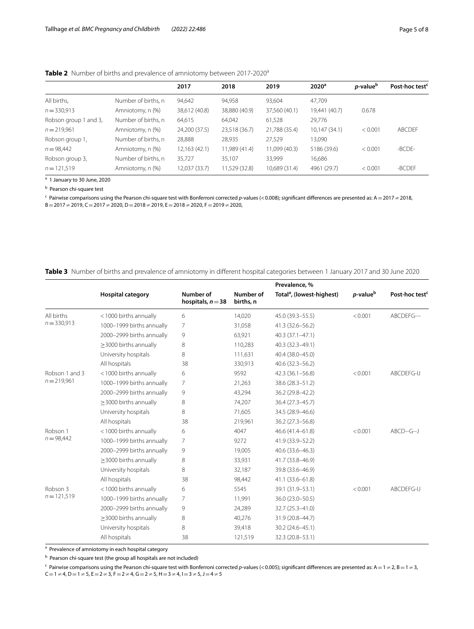<span id="page-4-0"></span>

|                       |                     | 2017          | 2018          | 2019          | 2020 <sup>a</sup> | <i>p</i> -value <sup>b</sup> | Post-hoc test <sup>c</sup> |
|-----------------------|---------------------|---------------|---------------|---------------|-------------------|------------------------------|----------------------------|
| All births,           | Number of births, n | 94,642        | 94,958        | 93.604        | 47.709            |                              |                            |
| $n = 330,913$         | Amniotomy, n (%)    | 38,612 (40.8) | 38,880 (40.9) | 37,560 (40.1) | 19,441 (40.7)     | 0.678                        |                            |
| Robson group 1 and 3, | Number of births, n | 64,615        | 64,042        | 61,528        | 29,776            |                              |                            |
| $n = 219,961$         | Amniotomy, n (%)    | 24,200 (37.5) | 23,518 (36.7) | 21,788 (35.4) | 10,147 (34.1)     | < 0.001                      | <b>ABCDEF</b>              |
| Robson group 1,       | Number of births, n | 28,888        | 28,935        | 27,529        | 13,090            |                              |                            |
| $n = 98,442$          | Amniotomy, n (%)    | 12,163 (42.1) | 11,989 (41.4) | 11,099 (40.3) | 5186 (39.6)       | < 0.001                      | -BCDE-                     |
| Robson group 3,       | Number of births, n | 35.727        | 35,107        | 33.999        | 16,686            |                              |                            |
| $n = 121,519$         | Amniotomy, n (%)    | 12,037 (33.7) | 11,529 (32.8) | 10,689 (31.4) | 4961 (29.7)       | < 0.001                      | -BCDEF                     |

<sup>a</sup> 1 January to 30 June, 2020

<sup>b</sup> Pearson chi-square test

c Pairwise comparisons using the Pearson chi-square test with Bonferroni corrected *p*-values (<0.008); signifcant diferences are presented as: A=2017≠2018, B=2017≠2019, C=2017≠2020, D=2018≠2019, E=2018≠2020, F=2019≠2020,

## <span id="page-4-1"></span>**Table 3** Number of births and prevalence of amniotomy in diferent hospital categories between 1 January 2017 and 30 June 2020

|                                 |                             |                                  |                        | Prevalence, %                         |                              |                            |
|---------------------------------|-----------------------------|----------------------------------|------------------------|---------------------------------------|------------------------------|----------------------------|
|                                 | <b>Hospital category</b>    | Number of<br>hospitals, $n = 38$ | Number of<br>births, n | Total <sup>a</sup> , (lowest-highest) | <i>p</i> -value <sup>b</sup> | Post-hoc test <sup>®</sup> |
| All births<br>$n = 330,913$     | <1000 births annually       | 6                                | 14,020                 | 45.0 (39.3 - 55.5)                    | < 0.001                      | ABCDEFG---                 |
|                                 | 1000-1999 births annually   | $\overline{7}$                   | 31,058                 | 41.3 (32.6 - 56.2)                    |                              |                            |
|                                 | 2000-2999 births annually   | 9                                | 63,921                 | 40.3 (37.1-47.1)                      |                              |                            |
|                                 | $\geq$ 3000 births annually | 8                                | 110,283                | 40.3 (32.3-49.1)                      |                              |                            |
|                                 | University hospitals        | 8                                | 111,631                | 40.4 (38.0-45.0)                      |                              |                            |
|                                 | All hospitals               | 38                               | 330,913                | $40.6(32.3 - 56.2)$                   |                              |                            |
| Robson 1 and 3<br>$n = 219,961$ | <1000 births annually       | 6                                | 9592                   | $42.3(36.1 - 56.8)$                   | < 0.001                      | ABCDEFG-IJ                 |
|                                 | 1000-1999 births annually   | $\overline{7}$                   | 21,263                 | 38.6 (28.3-51.2)                      |                              |                            |
|                                 | 2000-2999 births annually   | 9                                | 43,294                 | 36.2 (29.8-42.2)                      |                              |                            |
|                                 | >3000 births annually       | 8                                | 74,207                 | 36.4 (27.3-45.7)                      |                              |                            |
|                                 | University hospitals        | 8                                | 71,605                 | 34.5 (28.9-46.6)                      |                              |                            |
|                                 | All hospitals               | 38                               | 219,961                | 36.2 (27.3 - 56.8)                    |                              |                            |
| Robson 1<br>$n = 98,442$        | <1000 births annually       | 6                                | 4047                   | 46.6 (41.4-61.8)                      | < 0.001                      | ABCD--G--J                 |
|                                 | 1000-1999 births annually   | 7                                | 9272                   | 41.9 (33.9 - 52.2)                    |                              |                            |
|                                 | 2000-2999 births annually   | 9                                | 19,005                 | 40.6 (33.6-46.3)                      |                              |                            |
|                                 | >3000 births annually       | 8                                | 33,931                 | 41.7 (33.8-46.9)                      |                              |                            |
|                                 | University hospitals        | 8                                | 32,187                 | 39.8 (33.6-46.9)                      |                              |                            |
|                                 | All hospitals               | 38                               | 98,442                 | 41.1 (33.6-61.8)                      |                              |                            |
| Robson 3<br>$n = 121,519$       | <1000 births annually       | 6                                | 5545                   | 39.1 (31.9-53.1)                      | < 0.001                      | ABCDEFG-IJ                 |
|                                 | 1000-1999 births annually   | 7                                | 11,991                 | 36.0 (23.0-50.5)                      |                              |                            |
|                                 | 2000-2999 births annually   | 9                                | 24,289                 | 32.7 (25.3-41.0)                      |                              |                            |
|                                 | >3000 births annually       | 8                                | 40,276                 | 31.9 (20.8-44.7)                      |                              |                            |
|                                 | University hospitals        | 8                                | 39,418                 | 30.2 (24.6-45.1)                      |                              |                            |
|                                 | All hospitals               | 38                               | 121,519                | 32.3 (20.8-53.1)                      |                              |                            |
|                                 |                             |                                  |                        |                                       |                              |                            |

<sup>a</sup> Prevalence of amniotomy in each hospital category

**b** Pearson chi-square test (the group all hospitals are not included)

c Pairwise comparisons using the Pearson chi-square test with Bonferroni corrected *p*-values (<0.005); signifcant diferences are presented as: A=1≠2, B=1≠3,  $C=1\neq 4$ , D  $=1\neq 5$ , E  $=2\neq 3$ , F  $=2\neq 4$ , G  $=2\neq 5$ , H  $=3\neq 4$ , I  $=3\neq 5$ , J  $=4\neq 5$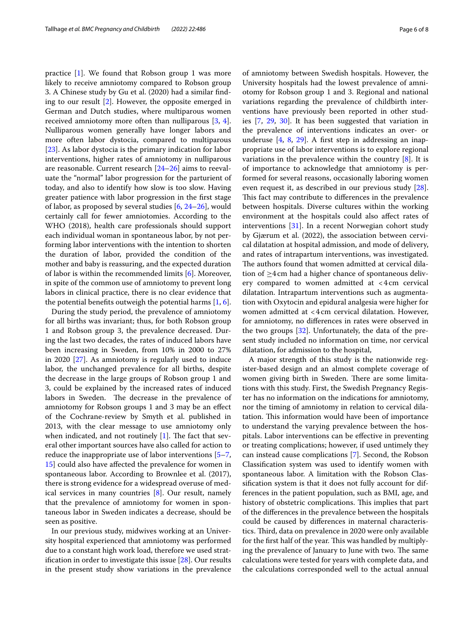practice [[1\]](#page-6-0). We found that Robson group 1 was more likely to receive amniotomy compared to Robson group 3. A Chinese study by Gu et al. (2020) had a similar fnding to our result [\[2](#page-6-1)]. However, the opposite emerged in German and Dutch studies, where multiparous women received amniotomy more often than nulliparous [[3](#page-6-2), [4](#page-6-3)]. Nulliparous women generally have longer labors and more often labor dystocia, compared to multiparous [[23\]](#page-7-3). As labor dystocia is the primary indication for labor interventions, higher rates of amniotomy in nulliparous are reasonable. Current research [\[24](#page-7-4)[–26\]](#page-7-5) aims to reevaluate the "normal" labor progression for the parturient of today, and also to identify how slow is too slow. Having greater patience with labor progression in the frst stage of labor, as proposed by several studies [[6,](#page-6-5) [24](#page-7-4)[–26](#page-7-5)], would certainly call for fewer amniotomies. According to the WHO (2018), health care professionals should support each individual woman in spontaneous labor, by not performing labor interventions with the intention to shorten the duration of labor, provided the condition of the mother and baby is reassuring, and the expected duration of labor is within the recommended limits [[6\]](#page-6-5). Moreover, in spite of the common use of amniotomy to prevent long labors in clinical practice, there is no clear evidence that the potential benefits outweigh the potential harms  $[1, 6]$  $[1, 6]$  $[1, 6]$  $[1, 6]$ .

During the study period, the prevalence of amniotomy for all births was invariant; thus, for both Robson group 1 and Robson group 3, the prevalence decreased. During the last two decades, the rates of induced labors have been increasing in Sweden, from 10% in 2000 to 27% in 2020 [[27\]](#page-7-6). As amniotomy is regularly used to induce labor, the unchanged prevalence for all births, despite the decrease in the large groups of Robson group 1 and 3, could be explained by the increased rates of induced labors in Sweden. The decrease in the prevalence of amniotomy for Robson groups 1 and 3 may be an efect of the Cochrane-review by Smyth et al. published in 2013, with the clear message to use amniotomy only when indicated, and not routinely  $[1]$ . The fact that several other important sources have also called for action to reduce the inappropriate use of labor interventions [[5](#page-6-4)[–7](#page-6-6), [15\]](#page-6-8) could also have afected the prevalence for women in spontaneous labor. According to Brownlee et al. (2017), there is strong evidence for a widespread overuse of medical services in many countries [[8\]](#page-6-7). Our result, namely that the prevalence of amniotomy for women in spontaneous labor in Sweden indicates a decrease, should be seen as positive.

In our previous study, midwives working at an University hospital experienced that amniotomy was performed due to a constant high work load, therefore we used stratifcation in order to investigate this issue [[28\]](#page-7-7). Our results in the present study show variations in the prevalence of amniotomy between Swedish hospitals. However, the University hospitals had the lowest prevalence of amniotomy for Robson group 1 and 3. Regional and national variations regarding the prevalence of childbirth interventions have previously been reported in other studies [\[7](#page-6-6), [29,](#page-7-8) [30](#page-7-9)]. It has been suggested that variation in the prevalence of interventions indicates an over- or underuse  $[4, 8, 29]$  $[4, 8, 29]$  $[4, 8, 29]$  $[4, 8, 29]$  $[4, 8, 29]$  $[4, 8, 29]$  $[4, 8, 29]$ . A first step in addressing an inappropriate use of labor interventions is to explore regional variations in the prevalence within the country [[8\]](#page-6-7). It is of importance to acknowledge that amniotomy is performed for several reasons, occasionally laboring women even request it, as described in our previous study [\[28](#page-7-7)]. This fact may contribute to differences in the prevalence between hospitals. Diverse cultures within the working environment at the hospitals could also afect rates of interventions [\[31](#page-7-10)]. In a recent Norwegian cohort study by Gjærum et al. (2022), the association between cervical dilatation at hospital admission, and mode of delivery, and rates of intrapartum interventions, was investigated. The authors found that women admitted at cervical dilation of  $\geq$ 4cm had a higher chance of spontaneous delivery compared to women admitted at <4cm cervical dilatation. Intrapartum interventions such as augmentation with Oxytocin and epidural analgesia were higher for women admitted at <4cm cervical dilatation. However, for amniotomy, no diferences in rates were observed in the two groups [[32\]](#page-7-11). Unfortunately, the data of the present study included no information on time, nor cervical dilatation, for admission to the hospital,

A major strength of this study is the nationwide register-based design and an almost complete coverage of women giving birth in Sweden. There are some limitations with this study. First, the Swedish Pregnancy Register has no information on the indications for amniotomy, nor the timing of amniotomy in relation to cervical dilatation. This information would have been of importance to understand the varying prevalence between the hospitals. Labor interventions can be efective in preventing or treating complications; however, if used untimely they can instead cause complications [\[7](#page-6-6)]. Second, the Robson Classifcation system was used to identify women with spontaneous labor. A limitation with the Robson Classifcation system is that it does not fully account for differences in the patient population, such as BMI, age, and history of obstetric complications. This implies that part of the diferences in the prevalence between the hospitals could be caused by diferences in maternal characteristics. Third, data on prevalence in 2020 were only available for the first half of the year. This was handled by multiplying the prevalence of January to June with two. The same calculations were tested for years with complete data, and the calculations corresponded well to the actual annual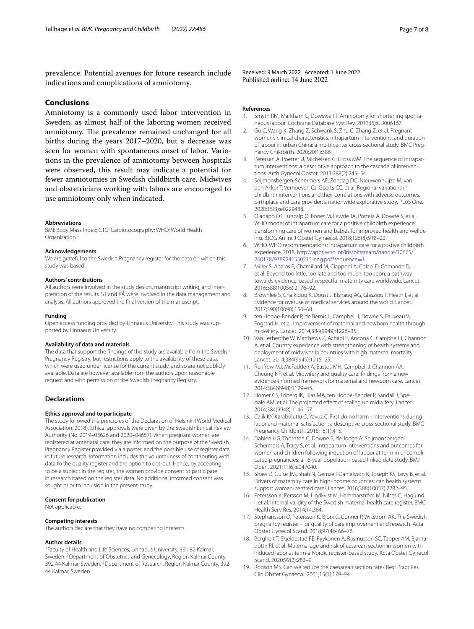prevalence. Potential avenues for future research include indications and complications of amniotomy.

# **Conclusions**

Amniotomy is a commonly used labor intervention in Sweden, as almost half of the laboring women received amniotomy. The prevalence remained unchanged for all births during the years 2017–2020, but a decrease was seen for women with spontaneous onset of labor. Variations in the prevalence of amniotomy between hospitals were observed, this result may indicate a potential for fewer amniotomies in Swedish childbirth care. Midwives and obstetricians working with labors are encouraged to use amniotomy only when indicated.

#### **Abbreviations**

BMI: Body Mass Index; CTG: Cardiotocography; WHO: World Health Organization.

#### **Acknowledgements**

We are grateful to the Swedish Pregnancy register for the data on which this study was based.

#### **Authors' contributions**

All authors were involved in the study design, manuscript writing, and interpretation of the results. ST and KÅ were involved in the data management and analysis. All authors approved the fnal version of the manuscript.

#### **Funding**

Open access funding provided by Linnaeus University. This study was supported by Linnaeus University.

#### **Availability of data and materials**

The data that support the fndings of this study are available from the Swedish Pregnancy Registry, but restrictions apply to the availability of these data, which were used under license for the current study, and so are not publicly available. Data are however available from the authors upon reasonable request and with permission of the Swedish Pregnancy Registry.

## **Declarations**

#### **Ethics approval and to participate**

The study followed the principles of the Declaration of Helsinki (World Medical Association, 2018). Ethical approvals were given by the Swedish Ethical Review Authority (No. 2019–03626 and 2020–04657). When pregnant women are registered at antenatal care, they are informed on the purpose of the Swedish Pregnancy Register provided via a poster, and the possible use of register data in future research. Information includes the voluntariness of contributing with data to the quality register and the option to opt-out. Hence, by accepting to be a subject in the register, the women provide consent to participate in research based on the register data. No additional informed consent was sought prior to inclusion in the present study.

#### **Consent for publication**

Not applicable.

#### **Competing interests**

The authors declare that they have no competing interests.

#### **Author details**

<sup>1</sup> Faculty of Health and Life Sciences, Linnaeus University, 391 82 Kalmar, Sweden. <sup>2</sup> Department of Obstetrics and Gynecology, Region Kalmar County, 392 44 Kalmar, Sweden. <sup>3</sup> Department of Research, Region Kalmar County, 392 44 Kalmar, Sweden.

Received: 9 March 2022 Accepted: 1 June 2022<br>Published online: 14 June 2022

#### **References**

- <span id="page-6-0"></span>1. Smyth RM, Markham C, Dowswell T. Amniotomy for shortening spontaneous labour. Cochrane Database Syst Rev. 2013;(6):CD006167.
- <span id="page-6-1"></span>2. Gu C, Wang X, Zhang Z, Schwank S, Zhu C, Zhang Z, et al. Pregnant women's clinical characteristics, intrapartum interventions, and duration of labour in urban China: a multi-center cross-sectional study. BMC Pregnancy Childbirth. 2020;20(1):386.
- <span id="page-6-2"></span>3. Petersen A, Poetter U, Michelsen C, Gross MM. The sequence of intrapartum interventions: a descriptive approach to the cascade of interventions. Arch Gynecol Obstet. 2013;288(2):245–54.
- <span id="page-6-3"></span>4. Seijmonsbergen-Schermers AE, Zondag DC, Nieuwenhuijze M, van den Akker T, Verhoeven CJ, Geerts CC, et al. Regional variations in childbirth interventions and their correlations with adverse outcomes, birthplace and care provider: a nationwide explorative study. PLoS One. 2020;15(3):e0229488.
- <span id="page-6-4"></span>5. Oladapo OT, Tuncalp O, Bonet M, Lawrie TA, Portela A, Downe S, et al. WHO model of intrapartum care for a positive childbirth experience: transforming care of women and babies for improved health and wellbeing. BJOG An Int J Obstet Gynaecol. 2018;125(8):918–22.
- <span id="page-6-5"></span>6. WHO. WHO recommendations: intrapartum care for a postive childbirth experience. 2018. [http://apps.who.int/iris/bitstream/handle/10665/](http://apps.who.int/iris/bitstream/handle/10665/260178/9789241550215-eng.pdf?sequence=1;) [260178/9789241550215-eng.pdf?sequence](http://apps.who.int/iris/bitstream/handle/10665/260178/9789241550215-eng.pdf?sequence=1;)=1.
- <span id="page-6-6"></span>7. Miller S, Abalos E, Chamillard M, Ciapponi A, Colaci D, Comande D, et al. Beyond too little, too late and too much, too soon: a pathway towards evidence-based, respectful maternity care worldwide. Lancet. 2016;388(10056):2176–92.
- <span id="page-6-7"></span>8. Brownlee S, Chalkidou K, Doust J, Elshaug AG, Glasziou P, Heath I, et al. Evidence for overuse of medical services around the world. Lancet. 2017;390(10090):156–68.
- ten Hoope-Bender P, de Bernis L, Campbell J, Downe S, Fauveau V, Fogstad H, et al. Improvement of maternal and newborn health through midwifery. Lancet. 2014;384(9949):1226–35.
- 10. Van Lerberghe W, Matthews Z, Achadi E, Ancona C, Campbell J, Channon A, et al. Country experience with strengthening of health systems and deployment of midwives in countries with high maternal mortality. Lancet. 2014;384(9949):1215–25.
- 11. Renfrew MJ, McFadden A, Bastos MH, Campbell J, Channon AA, Cheung NF, et al. Midwifery and quality care: fndings from a new evidence-informed framework for maternal and newborn care. Lancet. 2014;384(9948):1129–45.
- 12. Homer CS, Friberg IK, Dias MA, ten Hoope-Bender P, Sandall J, Speciale AM, et al. The projected efect of scaling up midwifery. Lancet. 2014;384(9948):1146–57.
- 13. Calik KY, Karabulutlu O, Yavuz C. First do no harm interventions during labor and maternal satisfaction: a descriptive cross-sectional study. BMC Pregnancy Childbirth. 2018;18(1):415.
- 14. Dahlen HG, Thornton C, Downe S, de Jonge A, Seijmonsbergen-Schermers A, Tracy S, et al. Intrapartum interventions and outcomes for women and children following induction of labour at term in uncomplicated pregnancies: a 16-year population-based linked data study. BMJ Open. 2021;11(6):e047040.
- <span id="page-6-8"></span>15. Shaw D, Guise JM, Shah N, Gemzell-Danielsson K, Joseph KS, Levy B, et al. Drivers of maternity care in high-income countries: can health systems support woman-centred care? Lancet. 2016;388(10057):2282–95.
- <span id="page-6-9"></span>16. Petersson K, Persson M, Lindkvist M, Hammarström M, Nilses C, Haglund I, et al. Internal validity of the Swedish maternal health care register. BMC Health Serv Res. 2014;14:364.
- <span id="page-6-10"></span>17. Stephansson O, Petersson K, Björk C, Conner P, Wikström AK. The Swedish pregnancy register - for quality of care improvement and research. Acta Obstet Gynecol Scand. 2018;97(4):466–76.
- <span id="page-6-11"></span>18. Bergholt T, Skjeldestad FE, Pyykönen A, Rasmussen SC, Tapper AM, Bjarnadóttir RI, et al. Maternal age and risk of cesarean section in women with induced labor at term-a Nordic register-based study. Acta Obstet Gynecol Scand. 2020;99(2):283–9.
- <span id="page-6-12"></span>19. Robson MS. Can we reduce the caesarean section rate? Best Pract Res Clin Obstet Gynaecol. 2001;15(1):179–94.